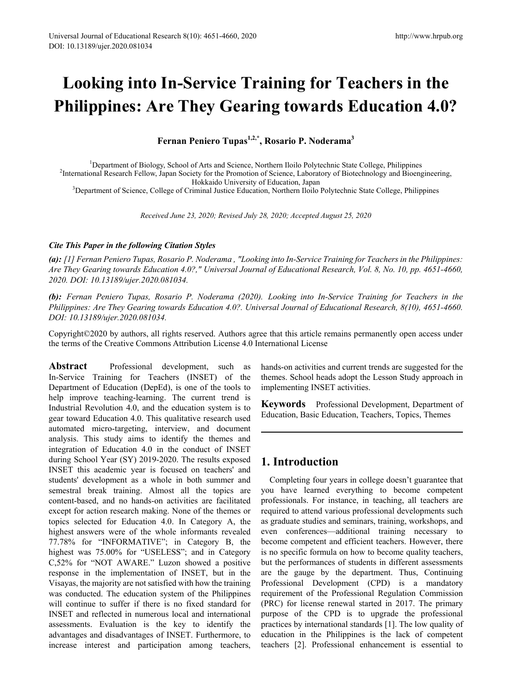# **Looking into In-Service Training for Teachers in the Philippines: Are They Gearing towards Education 4.0?**

**Fernan Peniero Tupas1,2,\*, Rosario P. Noderama3**

<sup>1</sup>Department of Biology, School of Arts and Science, Northern Iloilo Polytechnic State College, Philippines<br><sup>2</sup>International Research Fellow, Japan Society for the Promotion of Science, Laboratory of Biotechnology and Bio <sup>2</sup>International Research Fellow, Japan Society for the Promotion of Science, Laboratory of Biotechnology and Bioengineering,<br>Hokkaido University of Education, Japan

Hokkaido University of Education, Japan<br><sup>3</sup>Department of Science, College of Criminal Justice Education, Northern Iloilo Polytechnic State College, Philippines

*Received June 23, 2020; Revised July 28, 2020; Accepted August 25, 2020* 

## *Cite This Paper in the following Citation Styles*

*(a): [1] Fernan Peniero Tupas, Rosario P. Noderama , "Looking into In-Service Training for Teachers in the Philippines: Are They Gearing towards Education 4.0?," Universal Journal of Educational Research, Vol. 8, No. 10, pp. 4651-4660, 2020. DOI: 10.13189/ujer.2020.081034.* 

*(b): Fernan Peniero Tupas, Rosario P. Noderama (2020). Looking into In-Service Training for Teachers in the Philippines: Are They Gearing towards Education 4.0?. Universal Journal of Educational Research, 8(10), 4651-4660. DOI: 10.13189/ujer.2020.081034.* 

Copyright©2020 by authors, all rights reserved. Authors agree that this article remains permanently open access under the terms of the Creative Commons Attribution License 4.0 International License

Abstract Professional development, such as In-Service Training for Teachers (INSET) of the Department of Education (DepEd), is one of the tools to help improve teaching-learning. The current trend is Industrial Revolution 4.0, and the education system is to gear toward Education 4.0. This qualitative research used automated micro-targeting, interview, and document analysis. This study aims to identify the themes and integration of Education 4.0 in the conduct of INSET during School Year (SY) 2019-2020. The results exposed INSET this academic year is focused on teachers' and students' development as a whole in both summer and semestral break training. Almost all the topics are content-based, and no hands-on activities are facilitated except for action research making. None of the themes or topics selected for Education 4.0. In Category A, the highest answers were of the whole informants revealed 77.78% for "INFORMATIVE"; in Category B, the highest was 75.00% for "USELESS"; and in Category C,52% for "NOT AWARE." Luzon showed a positive response in the implementation of INSET, but in the Visayas, the majority are not satisfied with how the training was conducted. The education system of the Philippines will continue to suffer if there is no fixed standard for INSET and reflected in numerous local and international assessments. Evaluation is the key to identify the advantages and disadvantages of INSET. Furthermore, to increase interest and participation among teachers,

hands-on activities and current trends are suggested for the themes. School heads adopt the Lesson Study approach in implementing INSET activities.

**Keywords** Professional Development, Department of Education, Basic Education, Teachers, Topics, Themes

# **1. Introduction**

Completing four years in college doesn't guarantee that you have learned everything to become competent professionals. For instance, in teaching, all teachers are required to attend various professional developments such as graduate studies and seminars, training, workshops, and even conferences—additional training necessary to become competent and efficient teachers. However, there is no specific formula on how to become quality teachers, but the performances of students in different assessments are the gauge by the department. Thus, Continuing Professional Development (CPD) is a mandatory requirement of the Professional Regulation Commission (PRC) for license renewal started in 2017. The primary purpose of the CPD is to upgrade the professional practices by international standards [1]. The low quality of education in the Philippines is the lack of competent teachers [2]. Professional enhancement is essential to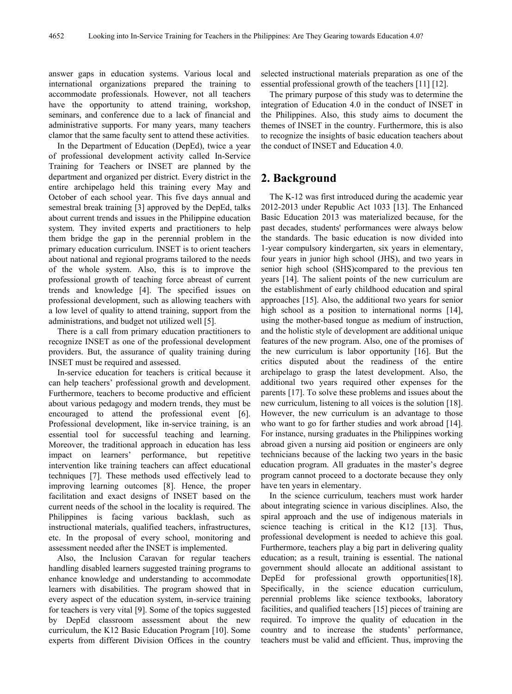answer gaps in education systems. Various local and international organizations prepared the training to accommodate professionals. However, not all teachers have the opportunity to attend training, workshop, seminars, and conference due to a lack of financial and administrative supports. For many years, many teachers clamor that the same faculty sent to attend these activities.

In the Department of Education (DepEd), twice a year of professional development activity called In-Service Training for Teachers or INSET are planned by the department and organized per district. Every district in the entire archipelago held this training every May and October of each school year. This five days annual and semestral break training [3] approved by the DepEd, talks about current trends and issues in the Philippine education system. They invited experts and practitioners to help them bridge the gap in the perennial problem in the primary education curriculum. INSET is to orient teachers about national and regional programs tailored to the needs of the whole system. Also, this is to improve the professional growth of teaching force abreast of current trends and knowledge [4]. The specified issues on professional development, such as allowing teachers with a low level of quality to attend training, support from the administrations, and budget not utilized well [5].

There is a call from primary education practitioners to recognize INSET as one of the professional development providers. But, the assurance of quality training during INSET must be required and assessed.

In-service education for teachers is critical because it can help teachers' professional growth and development. Furthermore, teachers to become productive and efficient about various pedagogy and modern trends, they must be encouraged to attend the professional event [6]. Professional development, like in-service training, is an essential tool for successful teaching and learning. Moreover, the traditional approach in education has less impact on learners' performance, but repetitive intervention like training teachers can affect educational techniques [7]. These methods used effectively lead to improving learning outcomes [8]. Hence, the proper facilitation and exact designs of INSET based on the current needs of the school in the locality is required. The Philippines is facing various backlash, such as instructional materials, qualified teachers, infrastructures, etc. In the proposal of every school, monitoring and assessment needed after the INSET is implemented.

Also, the Inclusion Caravan for regular teachers handling disabled learners suggested training programs to enhance knowledge and understanding to accommodate learners with disabilities. The program showed that in every aspect of the education system, in-service training for teachers is very vital [9]. Some of the topics suggested by DepEd classroom assessment about the new curriculum, the K12 Basic Education Program [10]. Some experts from different Division Offices in the country

selected instructional materials preparation as one of the essential professional growth of the teachers [11] [12].

The primary purpose of this study was to determine the integration of Education 4.0 in the conduct of INSET in the Philippines. Also, this study aims to document the themes of INSET in the country. Furthermore, this is also to recognize the insights of basic education teachers about the conduct of INSET and Education 4.0.

# **2. Background**

The K-12 was first introduced during the academic year 2012-2013 under Republic Act 1033 [13]. The Enhanced Basic Education 2013 was materialized because, for the past decades, students' performances were always below the standards. The basic education is now divided into 1-year compulsory kindergarten, six years in elementary, four years in junior high school (JHS), and two years in senior high school (SHS)compared to the previous ten years [14]. The salient points of the new curriculum are the establishment of early childhood education and spiral approaches [15]. Also, the additional two years for senior high school as a position to international norms [14], using the mother-based tongue as medium of instruction, and the holistic style of development are additional unique features of the new program. Also, one of the promises of the new curriculum is labor opportunity [16]. But the critics disputed about the readiness of the entire archipelago to grasp the latest development. Also, the additional two years required other expenses for the parents [17]. To solve these problems and issues about the new curriculum, listening to all voices is the solution [18]. However, the new curriculum is an advantage to those who want to go for farther studies and work abroad [14]. For instance, nursing graduates in the Philippines working abroad given a nursing aid position or engineers are only technicians because of the lacking two years in the basic education program. All graduates in the master's degree program cannot proceed to a doctorate because they only have ten years in elementary.

In the science curriculum, teachers must work harder about integrating science in various disciplines. Also, the spiral approach and the use of indigenous materials in science teaching is critical in the K12 [13]. Thus, professional development is needed to achieve this goal. Furthermore, teachers play a big part in delivering quality education; as a result, training is essential. The national government should allocate an additional assistant to DepEd for professional growth opportunities[18]. Specifically, in the science education curriculum, perennial problems like science textbooks, laboratory facilities, and qualified teachers [15] pieces of training are required. To improve the quality of education in the country and to increase the students' performance, teachers must be valid and efficient. Thus, improving the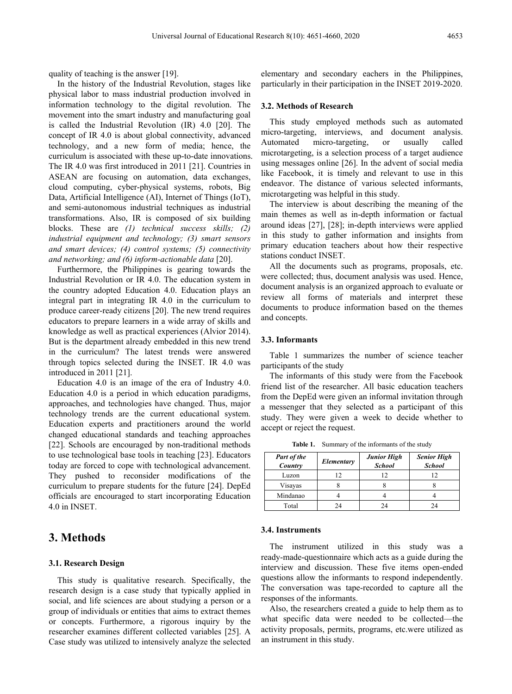quality of teaching is the answer [19].

In the history of the Industrial Revolution, stages like physical labor to mass industrial production involved in information technology to the digital revolution. The movement into the smart industry and manufacturing goal is called the Industrial Revolution (IR) 4.0 [20]. The concept of IR 4.0 is about global connectivity, advanced technology, and a new form of media; hence, the curriculum is associated with these up-to-date innovations. The IR 4.0 was first introduced in 2011 [21]. Countries in ASEAN are focusing on automation, data exchanges, cloud computing, cyber-physical systems, robots, Big Data, Artificial Intelligence (AI), Internet of Things (IoT), and semi-autonomous industrial techniques as industrial transformations. Also, IR is composed of six building blocks. These are *(1) technical success skills; (2) industrial equipment and technology; (3) smart sensors and smart devices; (4) control systems; (5) connectivity and networking; and (6) inform-actionable data* [20].

Furthermore, the Philippines is gearing towards the Industrial Revolution or IR 4.0. The education system in the country adopted Education 4.0. Education plays an integral part in integrating IR 4.0 in the curriculum to produce career-ready citizens [20]. The new trend requires educators to prepare learners in a wide array of skills and knowledge as well as practical experiences (Alvior 2014). But is the department already embedded in this new trend in the curriculum? The latest trends were answered through topics selected during the INSET. IR 4.0 was introduced in 2011 [21].

Education 4.0 is an image of the era of Industry 4.0. Education 4.0 is a period in which education paradigms, approaches, and technologies have changed. Thus, major technology trends are the current educational system. Education experts and practitioners around the world changed educational standards and teaching approaches [22]. Schools are encouraged by non-traditional methods to use technological base tools in teaching [23]. Educators today are forced to cope with technological advancement. They pushed to reconsider modifications of the curriculum to prepare students for the future [24]. DepEd officials are encouraged to start incorporating Education 4.0 in INSET.

# **3. Methods**

#### **3.1. Research Design**

This study is qualitative research. Specifically, the research design is a case study that typically applied in social, and life sciences are about studying a person or a group of individuals or entities that aims to extract themes or concepts. Furthermore, a rigorous inquiry by the researcher examines different collected variables [25]. A Case study was utilized to intensively analyze the selected

elementary and secondary eachers in the Philippines, particularly in their participation in the INSET 2019-2020.

## **3.2. Methods of Research**

This study employed methods such as automated micro-targeting, interviews, and document analysis. Automated micro-targeting, or usually called microtargeting, is a selection process of a target audience using messages online [26]. In the advent of social media like Facebook, it is timely and relevant to use in this endeavor. The distance of various selected informants, microtargeting was helpful in this study.

The interview is about describing the meaning of the main themes as well as in-depth information or factual around ideas [27], [28]; in-depth interviews were applied in this study to gather information and insights from primary education teachers about how their respective stations conduct INSET.

All the documents such as programs, proposals, etc. were collected; thus, document analysis was used. Hence, document analysis is an organized approach to evaluate or review all forms of materials and interpret these documents to produce information based on the themes and concepts.

## **3.3. Informants**

Table 1 summarizes the number of science teacher participants of the study

The informants of this study were from the Facebook friend list of the researcher. All basic education teachers from the DepEd were given an informal invitation through a messenger that they selected as a participant of this study. They were given a week to decide whether to accept or reject the request.

| Part of the<br>Country | Elementary | <b>Junior High</b><br><b>School</b> | <b>Senior High</b><br><b>School</b> |  |
|------------------------|------------|-------------------------------------|-------------------------------------|--|
| Luzon                  | . 2        | 12                                  |                                     |  |
| Visayas                |            |                                     |                                     |  |
| Mindanao               |            |                                     |                                     |  |
| Total                  | 24         | 24                                  |                                     |  |

**Table 1.** Summary of the informants of the study

#### **3.4. Instruments**

The instrument utilized in this study was a ready-made-questionnaire which acts as a guide during the interview and discussion. These five items open-ended questions allow the informants to respond independently. The conversation was tape-recorded to capture all the responses of the informants.

Also, the researchers created a guide to help them as to what specific data were needed to be collected—the activity proposals, permits, programs, etc.were utilized as an instrument in this study.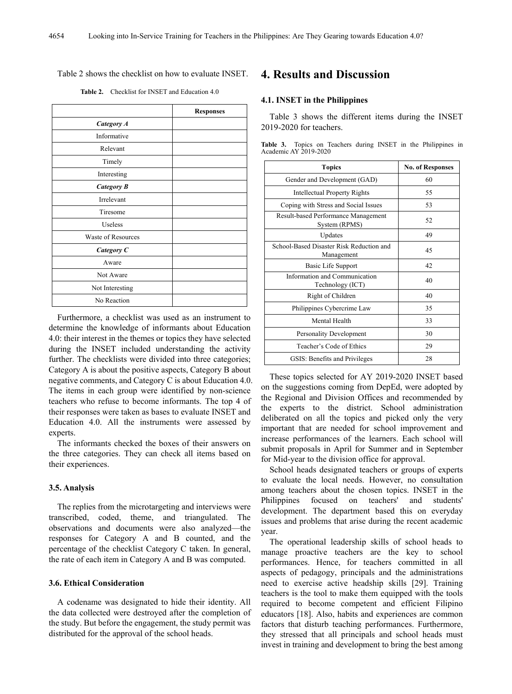## Table 2 shows the checklist on how to evaluate INSET.

|                           | <b>Responses</b> |
|---------------------------|------------------|
| Category A                |                  |
| Informative               |                  |
| Relevant                  |                  |
| Timely                    |                  |
| Interesting               |                  |
| <b>Category B</b>         |                  |
| Irrelevant                |                  |
| Tiresome                  |                  |
| Useless                   |                  |
| <b>Waste of Resources</b> |                  |
| Category C                |                  |
| Aware                     |                  |
| Not Aware                 |                  |
| Not Interesting           |                  |
| No Reaction               |                  |

**Table 2.** Checklist for INSET and Education 4.0

Furthermore, a checklist was used as an instrument to determine the knowledge of informants about Education 4.0: their interest in the themes or topics they have selected during the INSET included understanding the activity further. The checklists were divided into three categories; Category A is about the positive aspects, Category B about negative comments, and Category C is about Education 4.0. The items in each group were identified by non-science teachers who refuse to become informants. The top 4 of their responses were taken as bases to evaluate INSET and Education 4.0. All the instruments were assessed by experts.

The informants checked the boxes of their answers on the three categories. They can check all items based on their experiences.

## **3.5. Analysis**

The replies from the microtargeting and interviews were transcribed, coded, theme, and triangulated. The observations and documents were also analyzed—the responses for Category A and B counted, and the percentage of the checklist Category C taken. In general, the rate of each item in Category A and B was computed.

## **3.6. Ethical Consideration**

A codename was designated to hide their identity. All the data collected were destroyed after the completion of the study. But before the engagement, the study permit was distributed for the approval of the school heads.

# **4. Results and Discussion**

## **4.1. INSET in the Philippines**

Table 3 shows the different items during the INSET 2019-2020 for teachers.

**Table 3.** Topics on Teachers during INSET in the Philippines in Academic AY 2019-2020

| <b>Topics</b>                                          | <b>No. of Responses</b> |
|--------------------------------------------------------|-------------------------|
| Gender and Development (GAD)                           | 60                      |
| Intellectual Property Rights                           | 55                      |
| Coping with Stress and Social Issues                   | 53                      |
| Result-based Performance Management<br>System (RPMS)   | 52                      |
| Updates                                                | 49                      |
| School-Based Disaster Risk Reduction and<br>Management | 45                      |
| Basic Life Support                                     | 42                      |
| Information and Communication<br>Technology (ICT)      | 40                      |
| Right of Children                                      | 40                      |
| Philippines Cybercrime Law                             | 35                      |
| Mental Health                                          | 33                      |
| Personality Development                                | 30                      |
| Teacher's Code of Ethics                               | 29                      |
| GSIS: Benefits and Privileges                          | 28                      |

These topics selected for AY 2019-2020 INSET based on the suggestions coming from DepEd, were adopted by the Regional and Division Offices and recommended by the experts to the district. School administration deliberated on all the topics and picked only the very important that are needed for school improvement and increase performances of the learners. Each school will submit proposals in April for Summer and in September for Mid-year to the division office for approval.

School heads designated teachers or groups of experts to evaluate the local needs. However, no consultation among teachers about the chosen topics. INSET in the Philippines focused on teachers' and students' development. The department based this on everyday issues and problems that arise during the recent academic year.

The operational leadership skills of school heads to manage proactive teachers are the key to school performances. Hence, for teachers committed in all aspects of pedagogy, principals and the administrations need to exercise active headship skills [29]. Training teachers is the tool to make them equipped with the tools required to become competent and efficient Filipino educators [18]. Also, habits and experiences are common factors that disturb teaching performances. Furthermore, they stressed that all principals and school heads must invest in training and development to bring the best among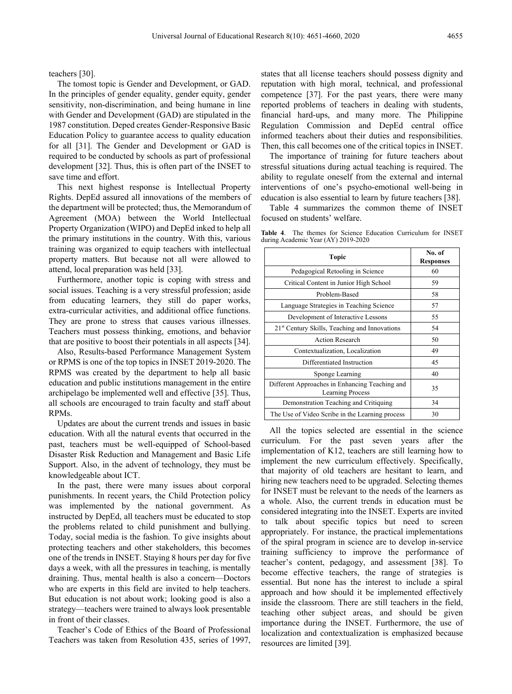teachers [30].

The tomost topic is Gender and Development, or GAD. In the principles of gender equality, gender equity, gender sensitivity, non-discrimination, and being humane in line with Gender and Development (GAD) are stipulated in the 1987 constitution. Deped creates Gender-Responsive Basic Education Policy to guarantee access to quality education for all [31]. The Gender and Development or GAD is required to be conducted by schools as part of professional development [32]. Thus, this is often part of the INSET to save time and effort.

This next highest response is Intellectual Property Rights. DepEd assured all innovations of the members of the department will be protected; thus, the Memorandum of Agreement (MOA) between the World Intellectual Property Organization (WIPO) and DepEd inked to help all the primary institutions in the country. With this, various training was organized to equip teachers with intellectual property matters. But because not all were allowed to attend, local preparation was held [33].

Furthermore, another topic is coping with stress and social issues. Teaching is a very stressful profession; aside from educating learners, they still do paper works, extra-curricular activities, and additional office functions. They are prone to stress that causes various illnesses. Teachers must possess thinking, emotions, and behavior that are positive to boost their potentials in all aspects [34].

Also, Results-based Performance Management System or RPMS is one of the top topics in INSET 2019-2020. The RPMS was created by the department to help all basic education and public institutions management in the entire archipelago be implemented well and effective [35]. Thus, all schools are encouraged to train faculty and staff about RPMs.

Updates are about the current trends and issues in basic education. With all the natural events that occurred in the past, teachers must be well-equipped of School-based Disaster Risk Reduction and Management and Basic Life Support. Also, in the advent of technology, they must be knowledgeable about ICT.

In the past, there were many issues about corporal punishments. In recent years, the Child Protection policy was implemented by the national government. As instructed by DepEd, all teachers must be educated to stop the problems related to child punishment and bullying. Today, social media is the fashion. To give insights about protecting teachers and other stakeholders, this becomes one of the trends in INSET. Staying 8 hours per day for five days a week, with all the pressures in teaching, is mentally draining. Thus, mental health is also a concern—Doctors who are experts in this field are invited to help teachers. But education is not about work; looking good is also a strategy—teachers were trained to always look presentable in front of their classes.

Teacher's Code of Ethics of the Board of Professional Teachers was taken from Resolution 435, series of 1997,

states that all license teachers should possess dignity and reputation with high moral, technical, and professional competence [37]. For the past years, there were many reported problems of teachers in dealing with students, financial hard-ups, and many more. The Philippine Regulation Commission and DepEd central office informed teachers about their duties and responsibilities. Then, this call becomes one of the critical topics in INSET.

The importance of training for future teachers about stressful situations during actual teaching is required. The ability to regulate oneself from the external and internal interventions of one's psycho-emotional well-being in education is also essential to learn by future teachers [38].

Table 4 summarizes the common theme of INSET focused on students' welfare.

|  |  |                                     | <b>Table 4.</b> The themes for Science Education Curriculum for INSET |  |
|--|--|-------------------------------------|-----------------------------------------------------------------------|--|
|  |  | during Academic Year (AY) 2019-2020 |                                                                       |  |

| Topic                                                                     | No. of<br><b>Responses</b> |
|---------------------------------------------------------------------------|----------------------------|
| Pedagogical Retooling in Science                                          | 60                         |
| Critical Content in Junior High School                                    | 59                         |
| Problem-Based                                                             | 58                         |
| Language Strategies in Teaching Science                                   | 57                         |
| Development of Interactive Lessons                                        | 55                         |
| 21 <sup>st</sup> Century Skills, Teaching and Innovations                 | 54                         |
| <b>Action Research</b>                                                    | 50                         |
| Contextualization, Localization                                           | 49                         |
| Differentiated Instruction                                                | 45                         |
| Sponge Learning                                                           | 40                         |
| Different Approaches in Enhancing Teaching and<br><b>Learning Process</b> | 35                         |
| Demonstration Teaching and Critiquing                                     | 34                         |
| The Use of Video Scribe in the Learning process                           | 30                         |

All the topics selected are essential in the science curriculum. For the past seven years after the implementation of K12, teachers are still learning how to implement the new curriculum effectively. Specifically, that majority of old teachers are hesitant to learn, and hiring new teachers need to be upgraded. Selecting themes for INSET must be relevant to the needs of the learners as a whole. Also, the current trends in education must be considered integrating into the INSET. Experts are invited to talk about specific topics but need to screen appropriately. For instance, the practical implementations of the spiral program in science are to develop in-service training sufficiency to improve the performance of teacher's content, pedagogy, and assessment [38]. To become effective teachers, the range of strategies is essential. But none has the interest to include a spiral approach and how should it be implemented effectively inside the classroom. There are still teachers in the field, teaching other subject areas, and should be given importance during the INSET. Furthermore, the use of localization and contextualization is emphasized because resources are limited [39].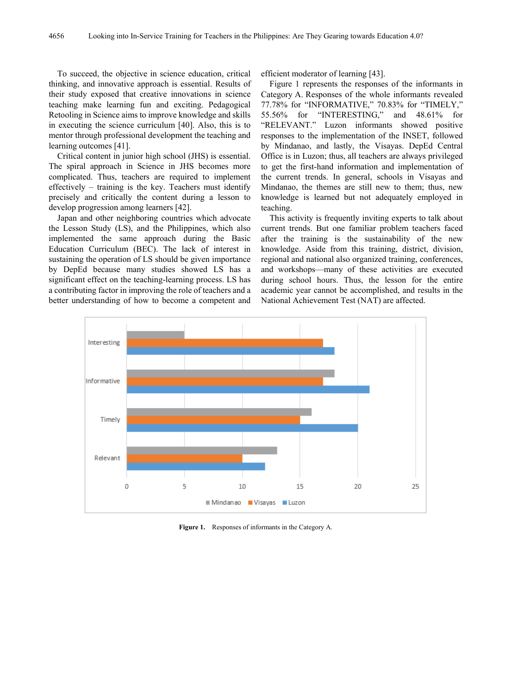To succeed, the objective in science education, critical thinking, and innovative approach is essential. Results of their study exposed that creative innovations in science teaching make learning fun and exciting. Pedagogical Retooling in Science aims to improve knowledge and skills in executing the science curriculum [40]. Also, this is to mentor through professional development the teaching and learning outcomes [41].

Critical content in junior high school (JHS) is essential. The spiral approach in Science in JHS becomes more complicated. Thus, teachers are required to implement effectively – training is the key. Teachers must identify precisely and critically the content during a lesson to develop progression among learners [42].

Japan and other neighboring countries which advocate the Lesson Study (LS), and the Philippines, which also implemented the same approach during the Basic Education Curriculum (BEC). The lack of interest in sustaining the operation of LS should be given importance by DepEd because many studies showed LS has a significant effect on the teaching-learning process. LS has a contributing factor in improving the role of teachers and a better understanding of how to become a competent and

efficient moderator of learning [43].

Figure 1 represents the responses of the informants in Category A. Responses of the whole informants revealed 77.78% for "INFORMATIVE," 70.83% for "TIMELY," 55.56% for "INTERESTING," and 48.61% for "RELEVANT." Luzon informants showed positive responses to the implementation of the INSET, followed by Mindanao, and lastly, the Visayas. DepEd Central Office is in Luzon; thus, all teachers are always privileged to get the first-hand information and implementation of the current trends. In general, schools in Visayas and Mindanao, the themes are still new to them; thus, new knowledge is learned but not adequately employed in teaching.

This activity is frequently inviting experts to talk about current trends. But one familiar problem teachers faced after the training is the sustainability of the new knowledge. Aside from this training, district, division, regional and national also organized training, conferences, and workshops—many of these activities are executed during school hours. Thus, the lesson for the entire academic year cannot be accomplished, and results in the National Achievement Test (NAT) are affected.



**Figure 1.** Responses of informants in the Category A.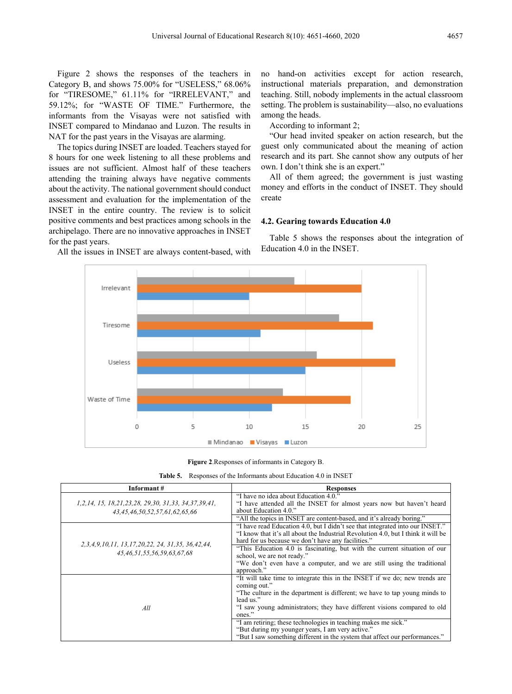Figure 2 shows the responses of the teachers in Category B, and shows 75.00% for "USELESS," 68.06% for "TIRESOME," 61.11% for "IRRELEVANT," and 59.12%; for "WASTE OF TIME." Furthermore, the informants from the Visayas were not satisfied with INSET compared to Mindanao and Luzon. The results in NAT for the past years in the Visayas are alarming.

The topics during INSET are loaded. Teachers stayed for 8 hours for one week listening to all these problems and issues are not sufficient. Almost half of these teachers attending the training always have negative comments about the activity. The national government should conduct assessment and evaluation for the implementation of the INSET in the entire country. The review is to solicit positive comments and best practices among schools in the archipelago. There are no innovative approaches in INSET for the past years.

All the issues in INSET are always content-based, with

no hand-on activities except for action research, instructional materials preparation, and demonstration teaching. Still, nobody implements in the actual classroom setting. The problem is sustainability—also, no evaluations among the heads.

According to informant 2;

"Our head invited speaker on action research, but the guest only communicated about the meaning of action research and its part. She cannot show any outputs of her own. I don't think she is an expert."

All of them agreed; the government is just wasting money and efforts in the conduct of INSET. They should create

## **4.2. Gearing towards Education 4.0**

Table 5 shows the responses about the integration of Education 4.0 in the INSET.



**Figure 2**.Responses of informants in Category B.

| <b>Table 5.</b> Responses of the Informants about Education 4.0 in INSET |  |
|--------------------------------------------------------------------------|--|
|--------------------------------------------------------------------------|--|

| Informant#                                                                                              | <b>Responses</b>                                                                                                                                       |  |  |
|---------------------------------------------------------------------------------------------------------|--------------------------------------------------------------------------------------------------------------------------------------------------------|--|--|
| 1, 2, 14, 15, 18, 21, 23, 28, 29, 30, 31, 33, 34, 37, 39, 41,<br>43, 45, 46, 50, 52, 57, 61, 62, 65, 66 | "I have no idea about Education 4.0."<br>"I have attended all the INSET for almost years now but haven't heard<br>about Education 4.0."                |  |  |
|                                                                                                         | "All the topics in INSET are content-based, and it's already boring."<br>"I have read Education 4.0, but I didn't see that integrated into our INSET." |  |  |
| 2, 3, 4, 9, 10, 11, 13, 17, 20, 22, 24, 31, 35, 36, 42, 44,                                             | "I know that it's all about the Industrial Revolution 4.0, but I think it will be<br>hard for us because we don't have any facilities."                |  |  |
| 45,46,51,55,56,59,63,67,68                                                                              | "This Education 4.0 is fascinating, but with the current situation of our<br>school, we are not ready."                                                |  |  |
|                                                                                                         | "We don't even have a computer, and we are still using the traditional<br>approach."                                                                   |  |  |
|                                                                                                         | "It will take time to integrate this in the INSET if we do; new trends are<br>coming out."                                                             |  |  |
|                                                                                                         | "The culture in the department is different; we have to tap young minds to<br>lead us."                                                                |  |  |
| All                                                                                                     | "I saw young administrators; they have different visions compared to old                                                                               |  |  |
|                                                                                                         | ones."<br>"I am retiring; these technologies in teaching makes me sick."                                                                               |  |  |
|                                                                                                         | "But during my younger years, I am very active."                                                                                                       |  |  |
|                                                                                                         | "But I saw something different in the system that affect our performances."                                                                            |  |  |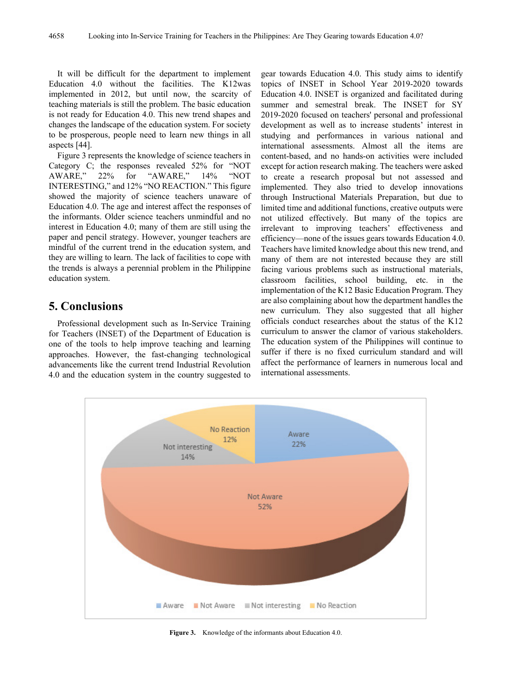It will be difficult for the department to implement Education 4.0 without the facilities. The K12was implemented in 2012, but until now, the scarcity of teaching materials is still the problem. The basic education is not ready for Education 4.0. This new trend shapes and changes the landscape of the education system. For society to be prosperous, people need to learn new things in all aspects [44].

Figure 3 represents the knowledge of science teachers in Category C; the responses revealed 52% for "NOT AWARE." 22% for "AWARE." 14% "NOT 22% for "AWARE," 14% INTERESTING," and 12% "NO REACTION." This figure showed the majority of science teachers unaware of Education 4.0. The age and interest affect the responses of the informants. Older science teachers unmindful and no interest in Education 4.0; many of them are still using the paper and pencil strategy. However, younger teachers are mindful of the current trend in the education system, and they are willing to learn. The lack of facilities to cope with the trends is always a perennial problem in the Philippine education system.

# **5. Conclusions**

Professional development such as In-Service Training for Teachers (INSET) of the Department of Education is one of the tools to help improve teaching and learning approaches. However, the fast-changing technological advancements like the current trend Industrial Revolution 4.0 and the education system in the country suggested to

gear towards Education 4.0. This study aims to identify topics of INSET in School Year 2019-2020 towards Education 4.0. INSET is organized and facilitated during summer and semestral break. The INSET for SY 2019-2020 focused on teachers' personal and professional development as well as to increase students' interest in studying and performances in various national and international assessments. Almost all the items are content-based, and no hands-on activities were included except for action research making. The teachers were asked to create a research proposal but not assessed and implemented. They also tried to develop innovations through Instructional Materials Preparation, but due to limited time and additional functions, creative outputs were not utilized effectively. But many of the topics are irrelevant to improving teachers' effectiveness and efficiency—none of the issues gears towards Education 4.0. Teachers have limited knowledge about this new trend, and many of them are not interested because they are still facing various problems such as instructional materials, classroom facilities, school building, etc. in the implementation of the K12 Basic Education Program. They are also complaining about how the department handles the new curriculum. They also suggested that all higher officials conduct researches about the status of the K12 curriculum to answer the clamor of various stakeholders. The education system of the Philippines will continue to suffer if there is no fixed curriculum standard and will affect the performance of learners in numerous local and international assessments.



**Figure 3.** Knowledge of the informants about Education 4.0.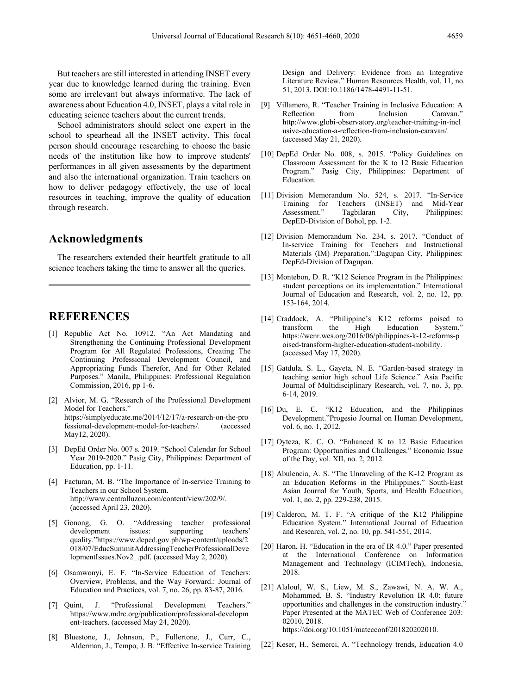But teachers are still interested in attending INSET every year due to knowledge learned during the training. Even some are irrelevant but always informative. The lack of awareness about Education 4.0, INSET, plays a vital role in educating science teachers about the current trends.

School administrators should select one expert in the school to spearhead all the INSET activity. This focal person should encourage researching to choose the basic needs of the institution like how to improve students' performances in all given assessments by the department and also the international organization. Train teachers on how to deliver pedagogy effectively, the use of local resources in teaching, improve the quality of education through research.

# **Acknowledgments**

The researchers extended their heartfelt gratitude to all science teachers taking the time to answer all the queries.

# **REFERENCES**

- [1] Republic Act No. 10912. "An Act Mandating and Strengthening the Continuing Professional Development Program for All Regulated Professions, Creating The Continuing Professional Development Council, and Appropriating Funds Therefor, And for Other Related Purposes." Manila, Philippines: Professional Regulation Commission, 2016, pp 1-6.
- [2] Alvior, M. G. "Research of the Professional Development Model for Teachers." https://simplyeducate.me/2014/12/17/a-research-on-the-pro<br>fessional-development-model-for-teachers/. (accessed fessional-development-model-for-teachers/. May12, 2020).
- [3] DepEd Order No. 007 s. 2019. "School Calendar for School Year 2019-2020." Pasig City, Philippines: Department of Education, pp. 1-11.
- [4] Facturan, M. B. "The Importance of In-service Training to Teachers in our School System. http://www.centralluzon.com/content/view/202/9/. (accessed April 23, 2020).
- [5] Gonong, G. O. "Addressing teacher professional development issues: supporting teachers' quality."https://www.deped.gov.ph/wp-content/uploads/2 018/07/EducSummitAddressingTeacherProfessionalDeve lopmentIssues.Nov2\_.pdf. (accessed May 2, 2020).
- [6] Osamwonyi, E. F. "In-Service Education of Teachers: Overview, Problems, and the Way Forward.: Journal of Education and Practices, vol. 7, no. 26, pp. 83-87, 2016.
- [7] Quint, J. "Professional Development Teachers." https://www.mdrc.org/publication/professional-developm ent-teachers. (accessed May 24, 2020).
- [8] Bluestone, J., Johnson, P., Fullertone, J., Curr, C., Alderman, J., Tempo, J. B. "Effective In-service Training

Design and Delivery: Evidence from an Integrative Literature Review." Human Resources Health, vol. 11, no. 51, 2013. DOI:10.1186/1478-4491-11-51.

- [9] Villamero, R. "Teacher Training in Inclusive Education: A Reflection http://www.globi-observatory.org/teacher-training-in-incl usive-education-a-reflection-from-inclusion-caravan/. (accessed May 21, 2020).
- [10] DepEd Order No. 008, s. 2015. "Policy Guidelines on Classroom Assessment for the K to 12 Basic Education Program." Pasig City, Philippines: Department of Education.
- [11] Division Memorandum No. 524, s. 2017. "In-Service Teachers (INSET) and Mid-Year<br>Tagbilaran City, Philippines: Assessment." DepED-Division of Bohol, pp. 1-2.
- [12] Division Memorandum No. 234, s. 2017. "Conduct of In-service Training for Teachers and Instructional Materials (IM) Preparation.":Dagupan City, Philippines: DepEd-Division of Dagupan.
- [13] Montebon, D. R. "K12 Science Program in the Philippines: student perceptions on its implementation." International Journal of Education and Research, vol. 2, no. 12, pp. 153-164, 2014.
- [14] Craddock, A. "Philippine's K12 reforms poised to transform the High Education https://wenr.wes.org/2016/06/philippines-k-12-reforms-p oised-transform-higher-education-student-mobility. (accessed May 17, 2020).
- [15] Gatdula, S. L., Gayeta, N. E. "Garden-based strategy in teaching senior high school Life Science." Asia Pacific Journal of Multidisciplinary Research, vol. 7, no. 3, pp. 6-14, 2019.
- [16] Du, E. C. "K12 Education, and the Philippines Development."Progesio Journal on Human Development, vol. 6, no. 1, 2012.
- [17] Oyteza, K. C. O. "Enhanced K to 12 Basic Education Program: Opportunities and Challenges." Economic Issue of the Day, vol. XII, no. 2, 2012.
- [18] Abulencia, A. S. "The Unraveling of the K-12 Program as an Education Reforms in the Philippines." South-East Asian Journal for Youth, Sports, and Health Education, vol. 1, no. 2, pp. 229-238, 2015.
- [19] Calderon, M. T. F. "A critique of the K12 Philippine Education System." International Journal of Education and Research, vol. 2, no. 10, pp. 541-551, 2014.
- [20] Haron, H. "Education in the era of IR 4.0." Paper presented at the International Conference on Information Management and Technology (ICIMTech), Indonesia, 2018.
- [21] Alaloul, W. S., Liew, M. S., Zawawi, N. A. W. A., Mohammed, B. S. "Industry Revolution IR 4.0: future opportunities and challenges in the construction industry." Paper Presented at the MATEC Web of Conference 203: 02010, 2018. https://doi.org/10.1051/matecconf/201820202010.
- [22] Keser, H., Semerci, A. "Technology trends, Education 4.0